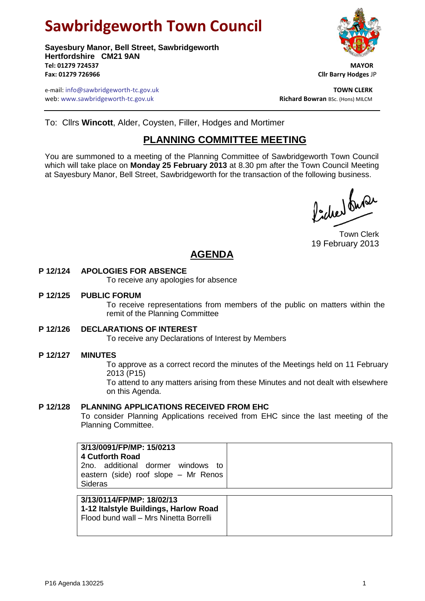# **Sawbridgeworth Town Council**

**Sayesbury Manor, Bell Street, Sawbridgeworth Hertfordshire CM21 9AN Tel: 01279 724537 MAYOR Fax: 01279 726966 Cllr Barry Hodges** JP

e-mail: info@sawbridgeworth-tc.gov.uk **TOWN CLERK** web: www.sawbridgeworth-tc.gov.uk<br> **Richard Bowran** BSc. (Hons) MILCM



To: Cllrs **Wincott**, Alder, Coysten, Filler, Hodges and Mortimer

### **PLANNING COMMITTEE MEETING**

You are summoned to a meeting of the Planning Committee of Sawbridgeworth Town Council which will take place on **Monday 25 February 2013** at 8.30 pm after the Town Council Meeting at Sayesbury Manor, Bell Street, Sawbridgeworth for the transaction of the following business.

Picked Que

Town Clerk 19 February 2013

## **AGENDA**

#### **P 12/124 APOLOGIES FOR ABSENCE**

To receive any apologies for absence

#### **P 12/125 PUBLIC FORUM**

To receive representations from members of the public on matters within the remit of the Planning Committee

#### **P 12/126 DECLARATIONS OF INTEREST**

To receive any Declarations of Interest by Members

#### **P 12/127 MINUTES**

To approve as a correct record the minutes of the Meetings held on 11 February 2013 (P15)

To attend to any matters arising from these Minutes and not dealt with elsewhere on this Agenda.

#### **P 12/128 PLANNING APPLICATIONS RECEIVED FROM EHC**

To consider Planning Applications received from EHC since the last meeting of the Planning Committee.

| 3/13/0091/FP/MP: 15/0213<br><b>4 Cutforth Road</b><br>2no, additional dormer windows<br>to<br>eastern (side) roof slope - Mr Renos<br>Sideras |  |
|-----------------------------------------------------------------------------------------------------------------------------------------------|--|
| 3/13/0114/FP/MP: 18/02/13<br>1-12 Italstyle Buildings, Harlow Road<br>Flood bund wall - Mrs Ninetta Borrelli                                  |  |